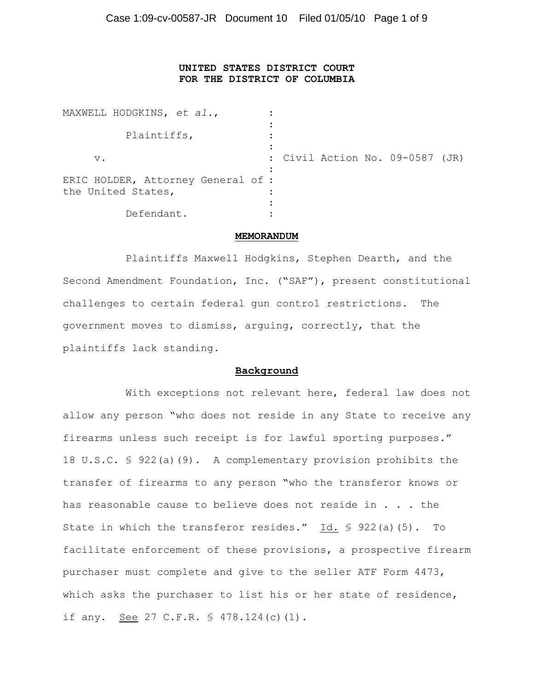# **UNITED STATES DISTRICT COURT FOR THE DISTRICT OF COLUMBIA**

| MAXWELL HODGKINS, et al.,                                |  |  |                                 |  |
|----------------------------------------------------------|--|--|---------------------------------|--|
| Plaintiffs,                                              |  |  |                                 |  |
| $V$ .                                                    |  |  | : Civil Action No. 09-0587 (JR) |  |
| ERIC HOLDER, Attorney General of :<br>the United States, |  |  |                                 |  |
| Defendant.                                               |  |  |                                 |  |

#### **MEMORANDUM**

Plaintiffs Maxwell Hodgkins, Stephen Dearth, and the Second Amendment Foundation, Inc. ("SAF"), present constitutional challenges to certain federal gun control restrictions. The government moves to dismiss, arguing, correctly, that the plaintiffs lack standing.

#### **Background**

With exceptions not relevant here, federal law does not allow any person "who does not reside in any State to receive any firearms unless such receipt is for lawful sporting purposes." 18 U.S.C. § 922(a)(9). A complementary provision prohibits the transfer of firearms to any person "who the transferor knows or has reasonable cause to believe does not reside in . . . the State in which the transferor resides." Id. § 922(a)(5). To facilitate enforcement of these provisions, a prospective firearm purchaser must complete and give to the seller ATF Form 4473, which asks the purchaser to list his or her state of residence, if any. See 27 C.F.R. § 478.124(c)(1).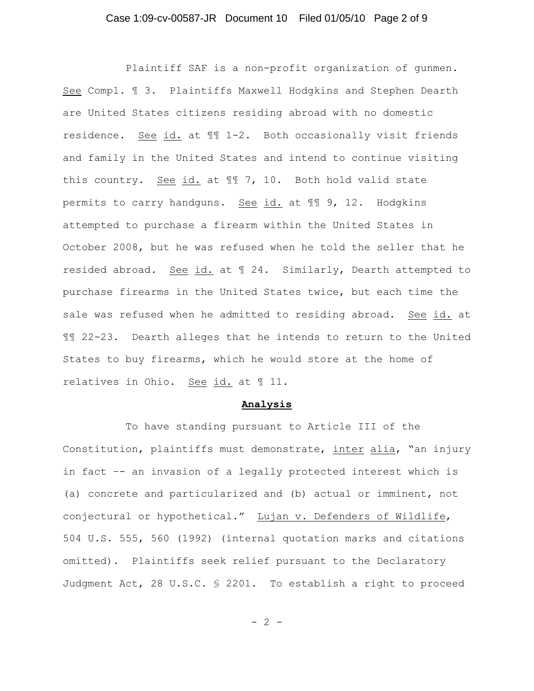## Case 1:09-cv-00587-JR Document 10 Filed 01/05/10 Page 2 of 9

Plaintiff SAF is a non-profit organization of gunmen. See Compl. ¶ 3. Plaintiffs Maxwell Hodgkins and Stephen Dearth are United States citizens residing abroad with no domestic residence. See id. at ¶¶ 1-2. Both occasionally visit friends and family in the United States and intend to continue visiting this country. See id. at ¶¶ 7, 10. Both hold valid state permits to carry handguns. See id. at ¶¶ 9, 12. Hodgkins attempted to purchase a firearm within the United States in October 2008, but he was refused when he told the seller that he resided abroad. See id. at ¶ 24. Similarly, Dearth attempted to purchase firearms in the United States twice, but each time the sale was refused when he admitted to residing abroad. See id. at ¶¶ 22-23. Dearth alleges that he intends to return to the United States to buy firearms, which he would store at the home of relatives in Ohio. See id. at 11.

#### **Analysis**

To have standing pursuant to Article III of the Constitution, plaintiffs must demonstrate, inter alia, "an injury in fact –- an invasion of a legally protected interest which is (a) concrete and particularized and (b) actual or imminent, not conjectural or hypothetical." Lujan v. Defenders of Wildlife, 504 U.S. 555, 560 (1992) (internal quotation marks and citations omitted). Plaintiffs seek relief pursuant to the Declaratory Judgment Act, 28 U.S.C. § 2201. To establish a right to proceed

 $- 2 -$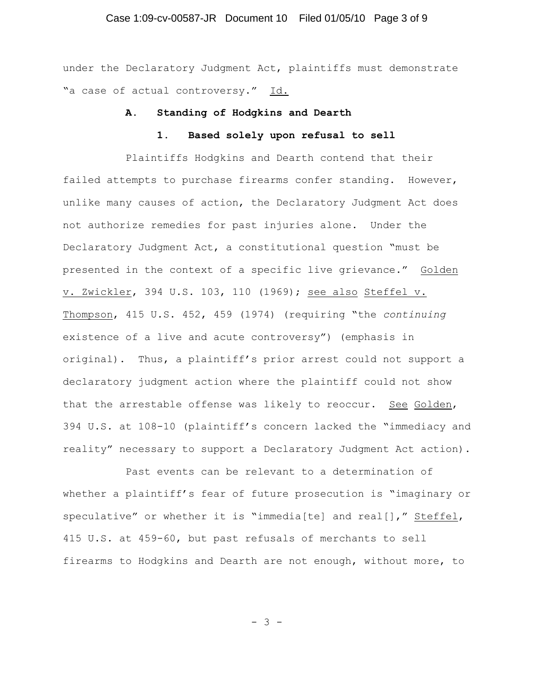## Case 1:09-cv-00587-JR Document 10 Filed 01/05/10 Page 3 of 9

under the Declaratory Judgment Act, plaintiffs must demonstrate "a case of actual controversy." Id.

#### **A. Standing of Hodgkins and Dearth**

## **1. Based solely upon refusal to sell**

Plaintiffs Hodgkins and Dearth contend that their failed attempts to purchase firearms confer standing. However, unlike many causes of action, the Declaratory Judgment Act does not authorize remedies for past injuries alone. Under the Declaratory Judgment Act, a constitutional question "must be presented in the context of a specific live grievance." Golden v. Zwickler, 394 U.S. 103, 110 (1969); see also Steffel v. Thompson, 415 U.S. 452, 459 (1974) (requiring "the *continuing* existence of a live and acute controversy") (emphasis in original). Thus, a plaintiff's prior arrest could not support a declaratory judgment action where the plaintiff could not show that the arrestable offense was likely to reoccur. See Golden, 394 U.S. at 108-10 (plaintiff's concern lacked the "immediacy and reality" necessary to support a Declaratory Judgment Act action).

Past events can be relevant to a determination of whether a plaintiff's fear of future prosecution is "imaginary or speculative" or whether it is "immedia[te] and real[]," Steffel, 415 U.S. at 459-60, but past refusals of merchants to sell firearms to Hodgkins and Dearth are not enough, without more, to

- 3 -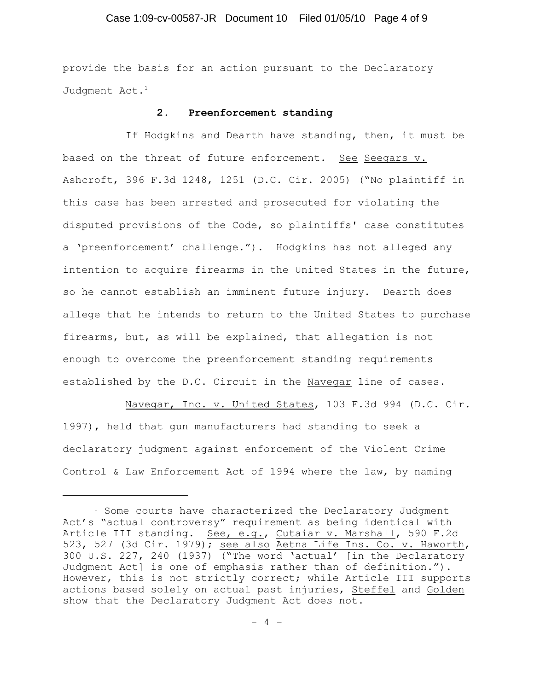## Case 1:09-cv-00587-JR Document 10 Filed 01/05/10 Page 4 of 9

provide the basis for an action pursuant to the Declaratory Judgment Act.<sup>1</sup>

#### **2. Preenforcement standing**

If Hodgkins and Dearth have standing, then, it must be based on the threat of future enforcement. See Seegars v. Ashcroft, 396 F.3d 1248, 1251 (D.C. Cir. 2005) ("No plaintiff in this case has been arrested and prosecuted for violating the disputed provisions of the Code, so plaintiffs' case constitutes a 'preenforcement' challenge."). Hodgkins has not alleged any intention to acquire firearms in the United States in the future, so he cannot establish an imminent future injury. Dearth does allege that he intends to return to the United States to purchase firearms, but, as will be explained, that allegation is not enough to overcome the preenforcement standing requirements established by the D.C. Circuit in the Navegar line of cases.

Navegar, Inc. v. United States, 103 F.3d 994 (D.C. Cir. 1997), held that gun manufacturers had standing to seek a declaratory judgment against enforcement of the Violent Crime Control & Law Enforcement Act of 1994 where the law, by naming

 $1$  Some courts have characterized the Declaratory Judgment Act's "actual controversy" requirement as being identical with Article III standing. See, e.g., Cutaiar v. Marshall, 590 F.2d 523, 527 (3d Cir. 1979); see also Aetna Life Ins. Co. v. Haworth, 300 U.S. 227, 240 (1937) ("The word 'actual' [in the Declaratory Judgment Act] is one of emphasis rather than of definition."). However, this is not strictly correct; while Article III supports actions based solely on actual past injuries, Steffel and Golden show that the Declaratory Judgment Act does not.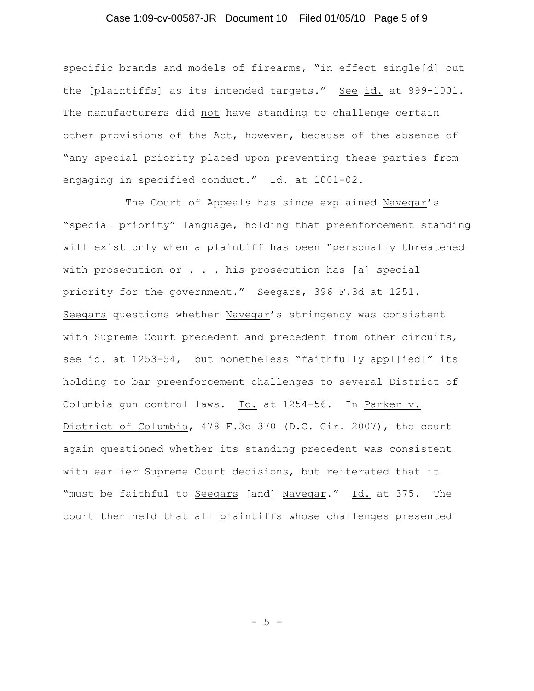## Case 1:09-cv-00587-JR Document 10 Filed 01/05/10 Page 5 of 9

specific brands and models of firearms, "in effect single[d] out the [plaintiffs] as its intended targets." See id. at 999-1001. The manufacturers did not have standing to challenge certain other provisions of the Act, however, because of the absence of "any special priority placed upon preventing these parties from engaging in specified conduct." Id. at 1001-02.

The Court of Appeals has since explained Navegar's "special priority" language, holding that preenforcement standing will exist only when a plaintiff has been "personally threatened with prosecution or . . . his prosecution has [a] special priority for the government." Seegars, 396 F.3d at 1251. Seegars questions whether Navegar's stringency was consistent with Supreme Court precedent and precedent from other circuits, see id. at 1253-54, but nonetheless "faithfully appl[ied]" its holding to bar preenforcement challenges to several District of Columbia gun control laws. Id. at 1254-56. In Parker v. District of Columbia, 478 F.3d 370 (D.C. Cir. 2007), the court again questioned whether its standing precedent was consistent with earlier Supreme Court decisions, but reiterated that it "must be faithful to Seegars [and] Navegar." Id. at 375. The court then held that all plaintiffs whose challenges presented

- 5 -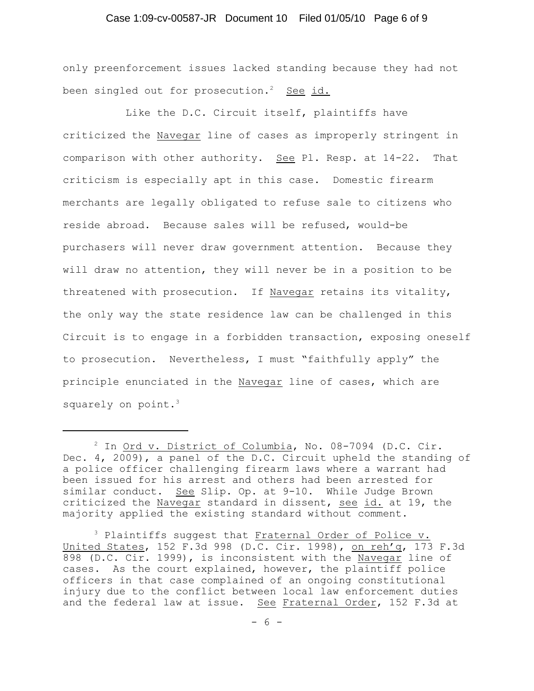## Case 1:09-cv-00587-JR Document 10 Filed 01/05/10 Page 6 of 9

only preenforcement issues lacked standing because they had not been singled out for prosecution.<sup>2</sup> See id.

Like the D.C. Circuit itself, plaintiffs have criticized the Navegar line of cases as improperly stringent in comparison with other authority. See Pl. Resp. at 14-22. That criticism is especially apt in this case. Domestic firearm merchants are legally obligated to refuse sale to citizens who reside abroad. Because sales will be refused, would-be purchasers will never draw government attention. Because they will draw no attention, they will never be in a position to be threatened with prosecution. If Navegar retains its vitality, the only way the state residence law can be challenged in this Circuit is to engage in a forbidden transaction, exposing oneself to prosecution. Nevertheless, I must "faithfully apply" the principle enunciated in the Navegar line of cases, which are squarely on point.<sup>3</sup>

 $2$  In Ord v. District of Columbia, No. 08-7094 (D.C. Cir. Dec. 4, 2009), a panel of the D.C. Circuit upheld the standing of a police officer challenging firearm laws where a warrant had been issued for his arrest and others had been arrested for similar conduct. See Slip. Op. at 9-10. While Judge Brown criticized the Navegar standard in dissent, see id. at 19, the majority applied the existing standard without comment.

 $3$  Plaintiffs suggest that Fraternal Order of Police v. United States, 152 F.3d 998 (D.C. Cir. 1998), on reh'g, 173 F.3d 898 (D.C. Cir. 1999), is inconsistent with the Navegar line of cases. As the court explained, however, the plaintiff police officers in that case complained of an ongoing constitutional injury due to the conflict between local law enforcement duties and the federal law at issue. See Fraternal Order, 152 F.3d at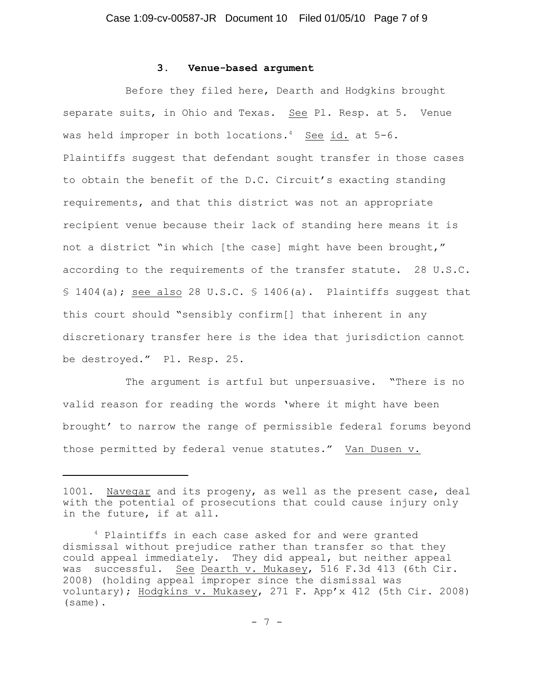#### **3. Venue-based argument**

Before they filed here, Dearth and Hodgkins brought separate suits, in Ohio and Texas. See Pl. Resp. at 5. Venue was held improper in both locations.<sup>4</sup> See id. at  $5-6$ . Plaintiffs suggest that defendant sought transfer in those cases to obtain the benefit of the D.C. Circuit's exacting standing requirements, and that this district was not an appropriate recipient venue because their lack of standing here means it is not a district "in which [the case] might have been brought," according to the requirements of the transfer statute. 28 U.S.C. § 1404(a); see also 28 U.S.C. § 1406(a). Plaintiffs suggest that this court should "sensibly confirm[] that inherent in any discretionary transfer here is the idea that jurisdiction cannot be destroyed." Pl. Resp. 25.

The argument is artful but unpersuasive. "There is no valid reason for reading the words 'where it might have been brought' to narrow the range of permissible federal forums beyond those permitted by federal venue statutes." Van Dusen v.

<sup>1001.</sup> Navegar and its progeny, as well as the present case, deal with the potential of prosecutions that could cause injury only in the future, if at all.

 $4$  Plaintiffs in each case asked for and were granted dismissal without prejudice rather than transfer so that they could appeal immediately. They did appeal, but neither appeal was successful. See Dearth v. Mukasey, 516 F.3d 413 (6th Cir. 2008) (holding appeal improper since the dismissal was voluntary); Hodgkins v. Mukasey, 271 F. App'x 412 (5th Cir. 2008) (same).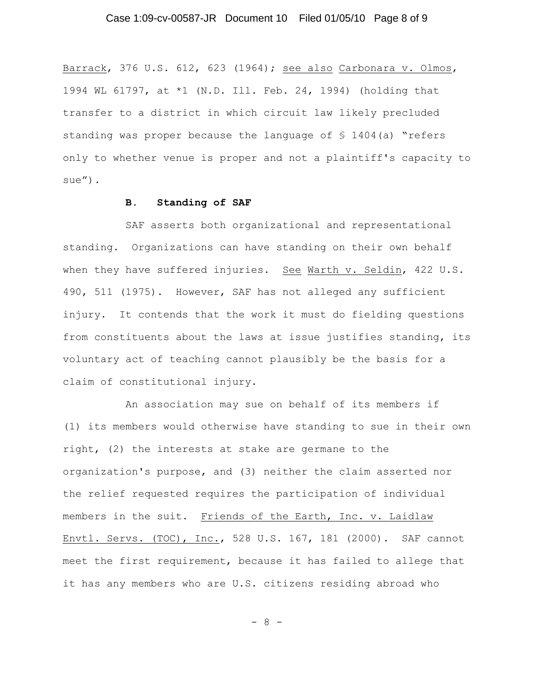Barrack, 376 U.S. 612, 623 (1964); see also Carbonara v. Olmos, 1994 WL 61797, at \*1 (N.D. Ill. Feb. 24, 1994) (holding that transfer to a district in which circuit law likely precluded standing was proper because the language of  $$1404(a)$  "refers only to whether venue is proper and not a plaintiff's capacity to sue").

## **B. Standing of SAF**

SAF asserts both organizational and representational standing. Organizations can have standing on their own behalf when they have suffered injuries. See Warth v. Seldin, 422 U.S. 490, 511 (1975). However, SAF has not alleged any sufficient injury. It contends that the work it must do fielding questions from constituents about the laws at issue justifies standing, its voluntary act of teaching cannot plausibly be the basis for a claim of constitutional injury.

An association may sue on behalf of its members if (1) its members would otherwise have standing to sue in their own right, (2) the interests at stake are germane to the organization's purpose, and (3) neither the claim asserted nor the relief requested requires the participation of individual members in the suit. Friends of the Earth, Inc. v. Laidlaw Envtl. Servs. (TOC), Inc., 528 U.S. 167, 181 (2000). SAF cannot meet the first requirement, because it has failed to allege that it has any members who are U.S. citizens residing abroad who

- 8 -